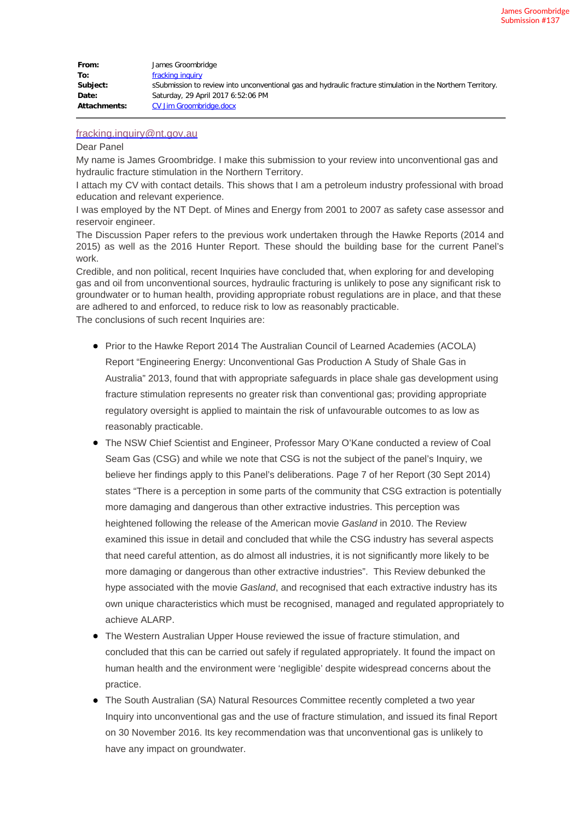| From:               | James Groombridge                                                                                           |
|---------------------|-------------------------------------------------------------------------------------------------------------|
| To:                 | fracking inquiry                                                                                            |
| Subject:            | sSubmission to review into unconventional gas and hydraulic fracture stimulation in the Northern Territory. |
| Date:               | Saturday, 29 April 2017 6:52:06 PM                                                                          |
| <b>Attachments:</b> | CV Jim Groombridge.docx                                                                                     |

## [fracking.inquiry@nt.gov.au](mailto:fracking.inquiry@nt.gov.au)

## Dear Panel

My name is James Groombridge. I make this submission to your review into unconventional gas and hydraulic fracture stimulation in the Northern Territory.

I attach my CV with contact details. This shows that I am a petroleum industry professional with broad education and relevant experience.

I was employed by the NT Dept. of Mines and Energy from 2001 to 2007 as safety case assessor and reservoir engineer.

The Discussion Paper refers to the previous work undertaken through the Hawke Reports (2014 and 2015) as well as the 2016 Hunter Report. These should the building base for the current Panel's work.

Credible, and non political, recent Inquiries have concluded that, when exploring for and developing gas and oil from unconventional sources, hydraulic fracturing is unlikely to pose any significant risk to groundwater or to human health, providing appropriate robust regulations are in place, and that these are adhered to and enforced, to reduce risk to low as reasonably practicable. The conclusions of such recent Inquiries are:

- **Prior to the Hawke Report 2014 The Australian Council of Learned Academies (ACOLA)** Report "Engineering Energy: Unconventional Gas Production A Study of Shale Gas in Australia" 2013, found that with appropriate safeguards in place shale gas development using fracture stimulation represents no greater risk than conventional gas; providing appropriate regulatory oversight is applied to maintain the risk of unfavourable outcomes to as low as reasonably practicable.
- The NSW Chief Scientist and Engineer, Professor Mary O'Kane conducted a review of Coal Seam Gas (CSG) and while we note that CSG is not the subject of the panel's Inquiry, we believe her findings apply to this Panel's deliberations. Page 7 of her Report (30 Sept 2014) states "There is a perception in some parts of the community that CSG extraction is potentially more damaging and dangerous than other extractive industries. This perception was heightened following the release of the American movie *Gasland* in 2010. The Review examined this issue in detail and concluded that while the CSG industry has several aspects that need careful attention, as do almost all industries, it is not significantly more likely to be more damaging or dangerous than other extractive industries". This Review debunked the hype associated with the movie *Gasland*, and recognised that each extractive industry has its own unique characteristics which must be recognised, managed and regulated appropriately to achieve ALARP.
- The Western Australian Upper House reviewed the issue of fracture stimulation, and concluded that this can be carried out safely if regulated appropriately. It found the impact on human health and the environment were 'negligible' despite widespread concerns about the practice.
- The South Australian (SA) Natural Resources Committee recently completed a two year Inquiry into unconventional gas and the use of fracture stimulation, and issued its final Report on 30 November 2016. Its key recommendation was that unconventional gas is unlikely to have any impact on groundwater.